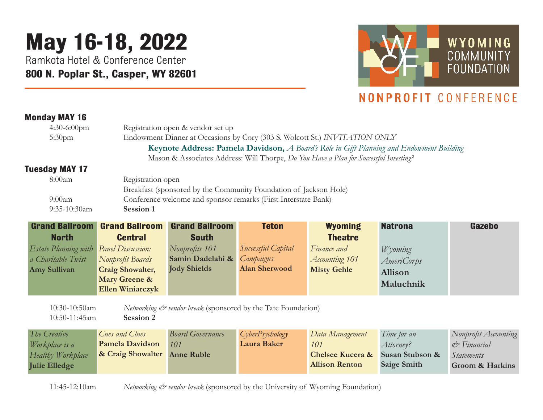## **May 16-18, 2022**

Ramkota Hotel & Conference Center **800 N. Poplar St., Casper, WY 82601**



## NONPROFIT CONFERENCE

## **Monday MAY 16**

| $4:30-6:00$ pm              |                          | Registration open & vendor set up                                 |                      |                                                                                                 |                    |                            |  |  |
|-----------------------------|--------------------------|-------------------------------------------------------------------|----------------------|-------------------------------------------------------------------------------------------------|--------------------|----------------------------|--|--|
| 5:30 <sub>pm</sub>          |                          |                                                                   |                      | Endowment Dinner at Occasions by Cory (303 S. Wolcott St.) INVITATION ONLY                      |                    |                            |  |  |
|                             |                          |                                                                   |                      | <b>Keynote Address: Pamela Davidson,</b> A Board's Role in Gift Planning and Endowment Building |                    |                            |  |  |
|                             |                          |                                                                   |                      | Mason & Associates Address: Will Thorpe, Do You Have a Plan for Successful Investing?           |                    |                            |  |  |
| <b>Tuesday MAY 17</b>       |                          |                                                                   |                      |                                                                                                 |                    |                            |  |  |
| 8:00am                      | Registration open        |                                                                   |                      |                                                                                                 |                    |                            |  |  |
|                             |                          | Breakfast (sponsored by the Community Foundation of Jackson Hole) |                      |                                                                                                 |                    |                            |  |  |
| 9:00am                      |                          | Conference welcome and sponsor remarks (First Interstate Bank)    |                      |                                                                                                 |                    |                            |  |  |
| 9:35-10:30am                | Session 1                |                                                                   |                      |                                                                                                 |                    |                            |  |  |
| <b>Grand Ballroom</b>       | <b>Grand Ballroom</b>    | <b>Grand Ballroom</b>                                             | <b>Teton</b>         | <b>Wyoming</b>                                                                                  | <b>Natrona</b>     | Gazebo                     |  |  |
| <b>North</b>                | <b>Central</b>           | <b>South</b>                                                      |                      | <b>Theatre</b>                                                                                  |                    |                            |  |  |
| <b>Estate Planning with</b> | <b>Panel Discussion:</b> | Nonprofits 101                                                    | Successful Capital   | Finance and                                                                                     | Wyoming            |                            |  |  |
| a Charitable Twist          | Nonprofit Boards         | Samin Dadelahi &                                                  | Campaigns            | <b>Accounting 101</b>                                                                           | <i>AmeriCorps</i>  |                            |  |  |
| <b>Amy Sullivan</b>         | <b>Craig Showalter,</b>  | <b>Jody Shields</b>                                               | <b>Alan Sherwood</b> | <b>Misty Gehle</b>                                                                              | Allison            |                            |  |  |
|                             | Mary Greene &            |                                                                   |                      |                                                                                                 | Maluchnik          |                            |  |  |
|                             | Ellen Winiarczyk         |                                                                   |                      |                                                                                                 |                    |                            |  |  |
| 10:30-10:50am               |                          | Networking & vendor break (sponsored by the Tate Foundation)      |                      |                                                                                                 |                    |                            |  |  |
| 10:50-11:45am               | Session 2                |                                                                   |                      |                                                                                                 |                    |                            |  |  |
|                             |                          |                                                                   |                      |                                                                                                 |                    |                            |  |  |
| The Creative                | Cues and Clues           | <b>Board Governance</b>                                           | CyberPsychology      | Data Management                                                                                 | Time for an        | Nonprofit Accounting       |  |  |
| Workplace is a              | <b>Pamela Davidson</b>   | 101                                                               | <b>Laura Baker</b>   | 101                                                                                             | Attorney?          | $C^*$ Financial            |  |  |
| Healthy Workplace           | & Craig Showalter        | <b>Anne Ruble</b>                                                 |                      | <b>Chelsee Kucera &amp;</b>                                                                     | Susan Stubson &    | <i>Statements</i>          |  |  |
| <b>Julie Elledge</b>        |                          |                                                                   |                      | <b>Allison Renton</b>                                                                           | <b>Saige Smith</b> | <b>Groom &amp; Harkins</b> |  |  |
|                             |                          |                                                                   |                      |                                                                                                 |                    |                            |  |  |

11:45-12:10am *Networking & vendor break* (sponsored by the University of Wyoming Foundation)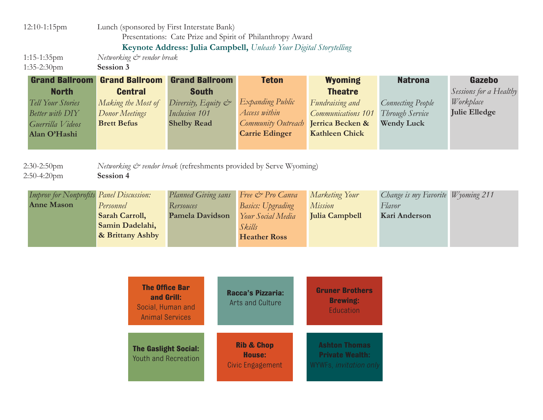| 12:10-1:15pm                                                                                                      |                                                                                                       | Lunch (sponsored by First Interstate Bank)<br>Presentations: Cate Prize and Spirit of Philanthropy Award          |                                                                                                           |                                                                                                                        |                                                                                    |                                                                       |
|-------------------------------------------------------------------------------------------------------------------|-------------------------------------------------------------------------------------------------------|-------------------------------------------------------------------------------------------------------------------|-----------------------------------------------------------------------------------------------------------|------------------------------------------------------------------------------------------------------------------------|------------------------------------------------------------------------------------|-----------------------------------------------------------------------|
| $1:15-1:35$ pm<br>1:35-2:30pm                                                                                     | Networking & vendor break<br>Session 3                                                                | Keynote Address: Julia Campbell, Unleash Your Digital Storytelling                                                |                                                                                                           |                                                                                                                        |                                                                                    |                                                                       |
| <b>Grand Ballroom</b><br><b>North</b><br>Tell Your Stories<br>Better with DIY<br>Guerrilla Videos<br>Alan O'Hashi | <b>Grand Ballroom</b><br><b>Central</b><br>Making the Most of<br>Donor Meetings<br><b>Brett Befus</b> | <b>Grand Ballroom</b><br><b>South</b><br>Diversity, Equity $\mathcal{C}^*$<br>Inclusion 101<br><b>Shelby Read</b> | <b>Teton</b><br>Expanding Public<br>Access within<br>Community Outreach<br><b>Carrie Edinger</b>          | <b>Wyoming</b><br><b>Theatre</b><br>Fundraising and<br>Communications 101<br>Jerrica Becken &<br><b>Kathleen Chick</b> | <b>Natrona</b><br><b>Connecting People</b><br>Through Service<br><b>Wendy Luck</b> | Gazebo<br>Sessions for a Healthy<br>Workplace<br><b>Julie Elledge</b> |
| $2:30-2:50$ pm<br>2:50-4:20pm                                                                                     | Session 4                                                                                             | Networking & vendor break (refreshments provided by Serve Wyoming)                                                |                                                                                                           |                                                                                                                        |                                                                                    |                                                                       |
| Improv for Nonprofits<br><b>Anne Mason</b>                                                                        | <b>Panel Discussion:</b><br>Personnel<br>Sarah Carroll,<br>Samin Dadelahi,<br>& Brittany Ashby        | Planned Giving sans<br>Rersouces<br><b>Pamela Davidson</b>                                                        | Free & Pro Canva<br><b>Basics:</b> Upgrading<br><b>Your Social Media</b><br>Skills<br><b>Heather Ross</b> | Marketing Your<br><b>Mission</b><br><b>Julia Campbell</b>                                                              | Change is my Favorite Wyoming 211<br>Flavor<br>Kari Anderson                       |                                                                       |

| <b>The Office Bar</b><br>and Grill:<br>Social, Human and<br><b>Animal Services</b> | <b>Racca's Pizzaria:</b><br>Arts and Culture               | <b>Gruner Brothers</b><br><b>Brewing:</b><br>Education                   |
|------------------------------------------------------------------------------------|------------------------------------------------------------|--------------------------------------------------------------------------|
| <b>The Gaslight Social:</b><br><b>Youth and Recreation</b>                         | <b>Rib &amp; Chop</b><br><b>House:</b><br>Civic Engagement | <b>Ashton Thomas</b><br><b>Private Wealth:</b><br>WYWFs, invitation only |